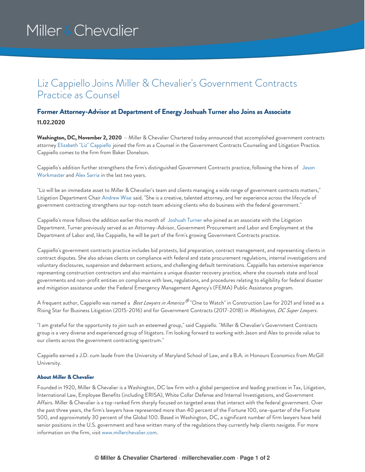# Miller & Chevalier

## Liz Cappiello Joins Miller & Chevalier's Government Contracts Practice as Counsel

### **Former Attorney-Advisor at Department of Energy Joshuah Turner also Joins as Associate 11.02.2020**

**Washington, DC, November 2, 2020** – Miller & Chevalier Chartered today announced that accomplished government contracts attorney Elizabeth "Liz" [Cappiello](https://www.millerchevalier.com/node/9224) joined the firm as a Counsel in the Government Contracts Counseling and Litigation Practice. Cappiello comes to the firm from Baker Donelson.

Cappiello's addition further strengthens the firm's [distinguished](https://www.millerchevalier.com/node/9204) Government Contracts practice, following the hires of Jason Workmaster and Alex [Sarria](https://www.millerchevalier.com/node/9215) in the last two years.

"Liz will be an immediate asset to Miller & Chevalier's team and clients managing a wide range of government contracts matters," Litigation Department Chair [Andrew](https://www.millerchevalier.com/node/9022) Wise said. "She is a creative, talented attorney, and her experience across the lifecycle of government contracting strengthens our top-notch team advising clients who do business with the federal government."

Cappiello's move follows the addition earlier this month of [Joshuah](https://www.millerchevalier.com/node/9223) Turner who joined as an associate with the Litigation Department. Turner previously served as an Attorney-Advisor, Government Procurement and Labor and Employment at the Department of Labor and, like Cappiello, he will be part of the firm's growing Government Contracts practice.

Cappiello's government contracts practice includes bid protests, bid preparation, contract management, and representing clients in contract disputes. She also advises clients on compliance with federal and state procurement regulations, internal investigations and voluntary disclosures, suspension and debarment actions, and challenging default terminations. Cappiello has extensive experience representing construction contractors and also maintains a unique disaster recovery practice, where she counsels state and local governments and non-profit entities on compliance with laws, regulations, and procedures relating to eligibility for federal disaster and mitigation assistance under the Federal Emergency Management Agency's (FEMA) Public Assistance program.

A frequent author, Cappiello was named a *Best Lawyers in America* "One to Watch" in Construction Law for 2021 and listed as a *®* Rising Star for Business Litigation (2015-2016) and for Government Contracts (2017-2018) in *Washington, DC Super Lawyers*.

"I am grateful for the opportunity to join such an esteemed group," said Cappiello. "Miller & Chevalier's Government Contracts group is a very diverse and experienced group of litigators. I'm looking forward to working with Jason and Alex to provide value to our clients across the government contracting spectrum."

Cappiello earned a J.D. cum laude from the University of Maryland School of Law, and a B.A. in Honours Economics from McGill University.

#### **About Miller & Chevalier**

Founded in 1920, Miller & Chevalier is a Washington, DC law firm with a global perspective and leading practices in Tax, Litigation, International Law, Employee Benefits (including ERISA), White Collar Defense and Internal Investigations, and Government Affairs. Miller & Chevalier is a top-ranked firm sharply focused on targeted areas that interact with the federal government. Over the past three years, the firm's lawyers have represented more than 40 percent of the Fortune 100, one-quarter of the Fortune 500, and approximately 30 percent of the Global 100. Based in Washington, DC, a significant number of firm lawyers have held senior positions in the U.S. government and have written many of the regulations they currently help clients navigate. For more information on the firm, visit [www.millerchevalier.com](http://www.millerchevalier.com).